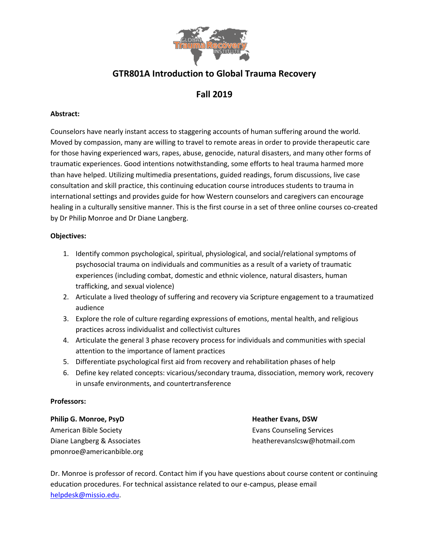

# **GTR801A Introduction to Global Trauma Recovery**

## **Fall 2019**

### **Abstract:**

Counselors have nearly instant access to staggering accounts of human suffering around the world. Moved by compassion, many are willing to travel to remote areas in order to provide therapeutic care for those having experienced wars, rapes, abuse, genocide, natural disasters, and many other forms of traumatic experiences. Good intentions notwithstanding, some efforts to heal trauma harmed more than have helped. Utilizing multimedia presentations, guided readings, forum discussions, live case consultation and skill practice, this continuing education course introduces students to trauma in international settings and provides guide for how Western counselors and caregivers can encourage healing in a culturally sensitive manner. This is the first course in a set of three online courses co-created by Dr Philip Monroe and Dr Diane Langberg.

#### **Objectives:**

- 1. Identify common psychological, spiritual, physiological, and social/relational symptoms of psychosocial trauma on individuals and communities as a result of a variety of traumatic experiences (including combat, domestic and ethnic violence, natural disasters, human trafficking, and sexual violence)
- 2. Articulate a lived theology of suffering and recovery via Scripture engagement to a traumatized audience
- 3. Explore the role of culture regarding expressions of emotions, mental health, and religious practices across individualist and collectivist cultures
- 4. Articulate the general 3 phase recovery process for individuals and communities with special attention to the importance of lament practices
- 5. Differentiate psychological first aid from recovery and rehabilitation phases of help
- 6. Define key related concepts: vicarious/secondary trauma, dissociation, memory work, recovery in unsafe environments, and countertransference

#### **Professors:**

#### **Philip G. Monroe, PsyD Heather Evans, DSW**

American Bible Society **Evans Counseling Services** Evans Counseling Services pmonroe@americanbible.org

Diane Langberg & Associates heatherevanslcsw@hotmail.com

Dr. Monroe is professor of record. Contact him if you have questions about course content or continuing education procedures. For technical assistance related to our e-campus, please email [helpdesk@missio.edu.](mailto:helpdesk@missio.edu)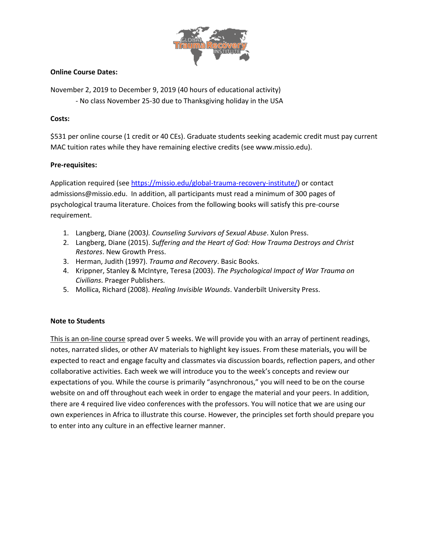

#### **Online Course Dates:**

November 2, 2019 to December 9, 2019 (40 hours of educational activity) - No class November 25-30 due to Thanksgiving holiday in the USA

#### **Costs:**

\$531 per online course (1 credit or 40 CEs). Graduate students seeking academic credit must pay current MAC tuition rates while they have remaining elective credits (see www.missio.edu).

### **Pre-requisites:**

Application required (see [https://missio.edu/global-trauma-recovery-institute/\)](https://missio.edu/global-trauma-recovery-institute/) or contact admissions@missio.edu. In addition, all participants must read a minimum of 300 pages of psychological trauma literature. Choices from the following books will satisfy this pre-course requirement.

- 1. Langberg, Diane (2003*). Counseling Survivors of Sexual Abuse*. Xulon Press.
- 2. Langberg, Diane (2015). *Suffering and the Heart of God: How Trauma Destroys and Christ Restores*. New Growth Press.
- 3. Herman, Judith (1997). *Trauma and Recovery*. Basic Books.
- 4. Krippner, Stanley & McIntyre, Teresa (2003). *The Psychological Impact of War Trauma on Civilians*. Praeger Publishers.
- 5. Mollica, Richard (2008). *Healing Invisible Wounds*. Vanderbilt University Press.

#### **Note to Students**

This is an on-line course spread over 5 weeks. We will provide you with an array of pertinent readings, notes, narrated slides, or other AV materials to highlight key issues. From these materials, you will be expected to react and engage faculty and classmates via discussion boards, reflection papers, and other collaborative activities. Each week we will introduce you to the week's concepts and review our expectations of you. While the course is primarily "asynchronous," you will need to be on the course website on and off throughout each week in order to engage the material and your peers. In addition, there are 4 required live video conferences with the professors. You will notice that we are using our own experiences in Africa to illustrate this course. However, the principles set forth should prepare you to enter into any culture in an effective learner manner.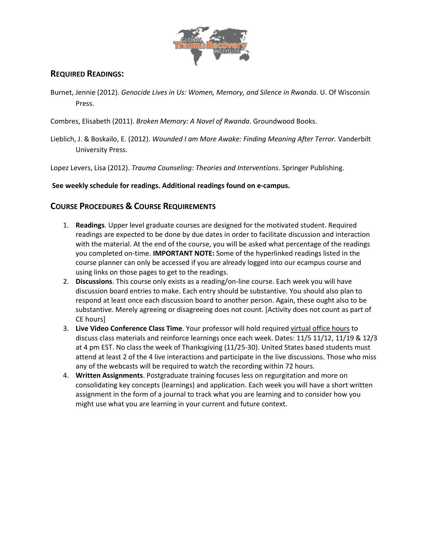

## **REQUIRED READINGS:**

- Burnet, Jennie (2012). *Genocide Lives in Us: Women, Memory, and Silence in Rwanda.* U. Of Wisconsin Press.
- Combres, Elisabeth (2011). *Broken Memory: A Novel of Rwanda*. Groundwood Books.
- Lieblich, J. & Boskailo, E. (2012). *Wounded I am More Awake: Finding Meaning After Terror.* Vanderbilt University Press.

Lopez Levers, Lisa (2012). *Trauma Counseling: Theories and Interventions*. Springer Publishing.

### **See weekly schedule for readings. Additional readings found on e-campus.**

## **COURSE PROCEDURES & COURSE REQUIREMENTS**

- 1. **Readings**. Upper level graduate courses are designed for the motivated student. Required readings are expected to be done by due dates in order to facilitate discussion and interaction with the material. At the end of the course, you will be asked what percentage of the readings you completed on-time. **IMPORTANT NOTE:** Some of the hyperlinked readings listed in the course planner can only be accessed if you are already logged into our ecampus course and using links on those pages to get to the readings.
- 2. **Discussions**. This course only exists as a reading/on-line course. Each week you will have discussion board entries to make. Each entry should be substantive. You should also plan to respond at least once each discussion board to another person. Again, these ought also to be substantive. Merely agreeing or disagreeing does not count. [Activity does not count as part of CE hours]
- 3. **Live Video Conference Class Time**. Your professor will hold required virtual office hours to discuss class materials and reinforce learnings once each week. Dates: 11/5 11/12, 11/19 & 12/3 at 4 pm EST. No class the week of Thanksgiving (11/25-30). United States based students must attend at least 2 of the 4 live interactions and participate in the live discussions. Those who miss any of the webcasts will be required to watch the recording within 72 hours.
- 4. **Written Assignments**. Postgraduate training focuses less on regurgitation and more on consolidating key concepts (learnings) and application. Each week you will have a short written assignment in the form of a journal to track what you are learning and to consider how you might use what you are learning in your current and future context.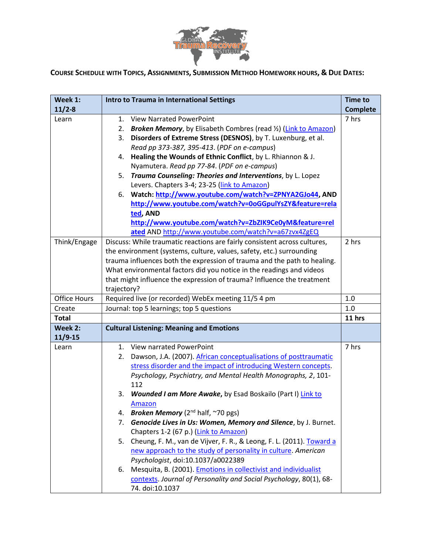

COURSE SCHEDULE WITH TOPICS, ASSIGNMENTS, SUBMISSION METHOD HOMEWORK HOURS, & DUE DATES:

| Week 1:             | <b>Intro to Trauma in International Settings</b>                              | <b>Time to</b>  |
|---------------------|-------------------------------------------------------------------------------|-----------------|
| $11/2 - 8$          |                                                                               | <b>Complete</b> |
| Learn               | <b>View Narrated PowerPoint</b><br>1.                                         | 7 hrs           |
|                     | <b>Broken Memory</b> , by Elisabeth Combres (read 1/2) (Link to Amazon)<br>2. |                 |
|                     | Disorders of Extreme Stress (DESNOS), by T. Luxenburg, et al.<br>3.           |                 |
|                     | Read pp 373-387, 395-413. (PDF on e-campus)                                   |                 |
|                     | Healing the Wounds of Ethnic Conflict, by L. Rhiannon & J.<br>4.              |                 |
|                     | Nyamutera. Read pp 77-84. (PDF on e-campus)                                   |                 |
|                     | 5. Trauma Counseling: Theories and Interventions, by L. Lopez                 |                 |
|                     | Levers. Chapters 3-4; 23-25 (link to Amazon)                                  |                 |
|                     | 6. Watch: http://www.youtube.com/watch?v=ZPNYA2GJo44, AND                     |                 |
|                     | http://www.youtube.com/watch?v=0oGGpulYsZY&feature=rela                       |                 |
|                     | ted, AND                                                                      |                 |
|                     | http://www.youtube.com/watch?v=ZbZIK9Ce0yM&feature=rel                        |                 |
|                     | ated AND http://www.youtube.com/watch?v=a67zvx4ZgEQ                           |                 |
| Think/Engage        | Discuss: While traumatic reactions are fairly consistent across cultures,     | 2 hrs           |
|                     | the environment (systems, culture, values, safety, etc.) surrounding          |                 |
|                     | trauma influences both the expression of trauma and the path to healing.      |                 |
|                     | What environmental factors did you notice in the readings and videos          |                 |
|                     | that might influence the expression of trauma? Influence the treatment        |                 |
|                     | trajectory?                                                                   |                 |
| <b>Office Hours</b> | Required live (or recorded) WebEx meeting 11/5 4 pm                           | 1.0             |
| Create              | Journal: top 5 learnings; top 5 questions                                     | 1.0             |
| <b>Total</b>        |                                                                               | 11 hrs          |
| Week 2:             | <b>Cultural Listening: Meaning and Emotions</b>                               |                 |
| $11/9-15$           |                                                                               |                 |
| Learn               | <b>View narrated PowerPoint</b><br>1.                                         | 7 hrs           |
|                     | Dawson, J.A. (2007). African conceptualisations of posttraumatic<br>2.        |                 |
|                     | stress disorder and the impact of introducing Western concepts.               |                 |
|                     | Psychology, Psychiatry, and Mental Health Monographs, 2, 101-                 |                 |
|                     | 112                                                                           |                 |
|                     | 3.<br><b>Wounded I am More Awake, by Esad Boskailo (Part I) Link to</b>       |                 |
|                     | Amazon                                                                        |                 |
|                     | <b>Broken Memory</b> ( $2^{nd}$ half, $\sim$ 70 pgs)<br>4.                    |                 |
|                     | Genocide Lives in Us: Women, Memory and Silence, by J. Burnet.<br>7.          |                 |
|                     | Chapters 1-2 (67 p.) (Link to Amazon)                                         |                 |
|                     | Cheung, F. M., van de Vijver, F. R., & Leong, F. L. (2011). Toward a<br>5.    |                 |
|                     | new approach to the study of personality in culture. American                 |                 |
|                     | Psychologist, doi:10.1037/a0022389                                            |                 |
|                     | Mesquita, B. (2001). <i>Emotions in collectivist and individualist</i><br>6.  |                 |
|                     | contexts. Journal of Personality and Social Psychology, 80(1), 68-            |                 |
|                     | 74. doi:10.1037                                                               |                 |